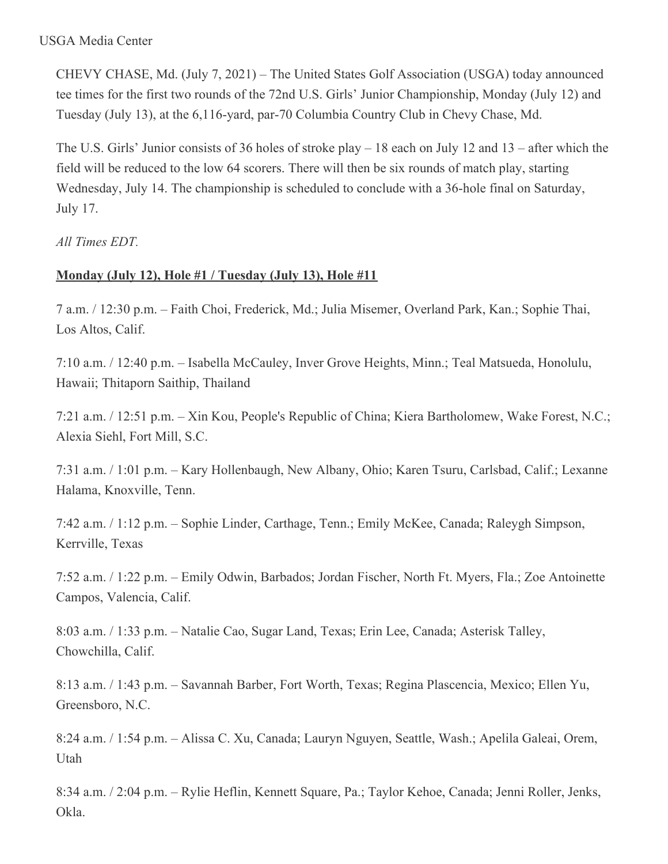### USGA Media Center

CHEVY CHASE, Md. (July 7, 2021) – The United States Golf Association (USGA) today announced tee times for the first two rounds of the 72nd U.S. Girls' Junior Championship, Monday (July 12) and Tuesday (July 13), at the 6,116-yard, par-70 Columbia Country Club in Chevy Chase, Md.

The U.S. Girls' Junior consists of 36 holes of stroke play – 18 each on July 12 and 13 – after which the field will be reduced to the low 64 scorers. There will then be six rounds of match play, starting Wednesday, July 14. The championship is scheduled to conclude with a 36-hole final on Saturday, July 17.

*All Times EDT.*

# **Monday (July 12), Hole #1 / Tuesday (July 13), Hole #11**

7 a.m. / 12:30 p.m. – Faith Choi, Frederick, Md.; Julia Misemer, Overland Park, Kan.; Sophie Thai, Los Altos, Calif.

7:10 a.m. / 12:40 p.m. – Isabella McCauley, Inver Grove Heights, Minn.; Teal Matsueda, Honolulu, Hawaii; Thitaporn Saithip, Thailand

7:21 a.m. / 12:51 p.m. – Xin Kou, People's Republic of China; Kiera Bartholomew, Wake Forest, N.C.; Alexia Siehl, Fort Mill, S.C.

7:31 a.m. / 1:01 p.m. – Kary Hollenbaugh, New Albany, Ohio; Karen Tsuru, Carlsbad, Calif.; Lexanne Halama, Knoxville, Tenn.

7:42 a.m. / 1:12 p.m. – Sophie Linder, Carthage, Tenn.; Emily McKee, Canada; Raleygh Simpson, Kerrville, Texas

7:52 a.m. / 1:22 p.m. – Emily Odwin, Barbados; Jordan Fischer, North Ft. Myers, Fla.; Zoe Antoinette Campos, Valencia, Calif.

8:03 a.m. / 1:33 p.m. – Natalie Cao, Sugar Land, Texas; Erin Lee, Canada; Asterisk Talley, Chowchilla, Calif.

8:13 a.m. / 1:43 p.m. – Savannah Barber, Fort Worth, Texas; Regina Plascencia, Mexico; Ellen Yu, Greensboro, N.C.

8:24 a.m. / 1:54 p.m. – Alissa C. Xu, Canada; Lauryn Nguyen, Seattle, Wash.; Apelila Galeai, Orem, Utah

8:34 a.m. / 2:04 p.m. – Rylie Heflin, Kennett Square, Pa.; Taylor Kehoe, Canada; Jenni Roller, Jenks, Okla.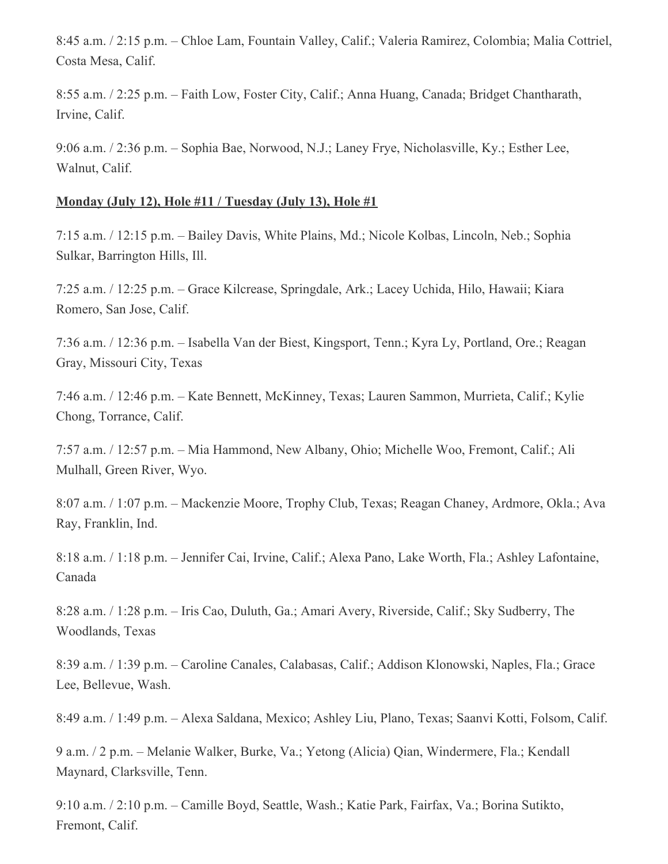8:45 a.m. / 2:15 p.m. – Chloe Lam, Fountain Valley, Calif.; Valeria Ramirez, Colombia; Malia Cottriel, Costa Mesa, Calif.

8:55 a.m. / 2:25 p.m. – Faith Low, Foster City, Calif.; Anna Huang, Canada; Bridget Chantharath, Irvine, Calif.

9:06 a.m. / 2:36 p.m. – Sophia Bae, Norwood, N.J.; Laney Frye, Nicholasville, Ky.; Esther Lee, Walnut, Calif.

### **Monday (July 12), Hole #11 / Tuesday (July 13), Hole #1**

7:15 a.m. / 12:15 p.m. – Bailey Davis, White Plains, Md.; Nicole Kolbas, Lincoln, Neb.; Sophia Sulkar, Barrington Hills, Ill.

7:25 a.m. / 12:25 p.m. – Grace Kilcrease, Springdale, Ark.; Lacey Uchida, Hilo, Hawaii; Kiara Romero, San Jose, Calif.

7:36 a.m. / 12:36 p.m. – Isabella Van der Biest, Kingsport, Tenn.; Kyra Ly, Portland, Ore.; Reagan Gray, Missouri City, Texas

7:46 a.m. / 12:46 p.m. – Kate Bennett, McKinney, Texas; Lauren Sammon, Murrieta, Calif.; Kylie Chong, Torrance, Calif.

7:57 a.m. / 12:57 p.m. – Mia Hammond, New Albany, Ohio; Michelle Woo, Fremont, Calif.; Ali Mulhall, Green River, Wyo.

8:07 a.m. / 1:07 p.m. – Mackenzie Moore, Trophy Club, Texas; Reagan Chaney, Ardmore, Okla.; Ava Ray, Franklin, Ind.

8:18 a.m. / 1:18 p.m. – Jennifer Cai, Irvine, Calif.; Alexa Pano, Lake Worth, Fla.; Ashley Lafontaine, Canada

8:28 a.m. / 1:28 p.m. – Iris Cao, Duluth, Ga.; Amari Avery, Riverside, Calif.; Sky Sudberry, The Woodlands, Texas

8:39 a.m. / 1:39 p.m. – Caroline Canales, Calabasas, Calif.; Addison Klonowski, Naples, Fla.; Grace Lee, Bellevue, Wash.

8:49 a.m. / 1:49 p.m. – Alexa Saldana, Mexico; Ashley Liu, Plano, Texas; Saanvi Kotti, Folsom, Calif.

9 a.m. / 2 p.m. – Melanie Walker, Burke, Va.; Yetong (Alicia) Qian, Windermere, Fla.; Kendall Maynard, Clarksville, Tenn.

9:10 a.m. / 2:10 p.m. – Camille Boyd, Seattle, Wash.; Katie Park, Fairfax, Va.; Borina Sutikto, Fremont, Calif.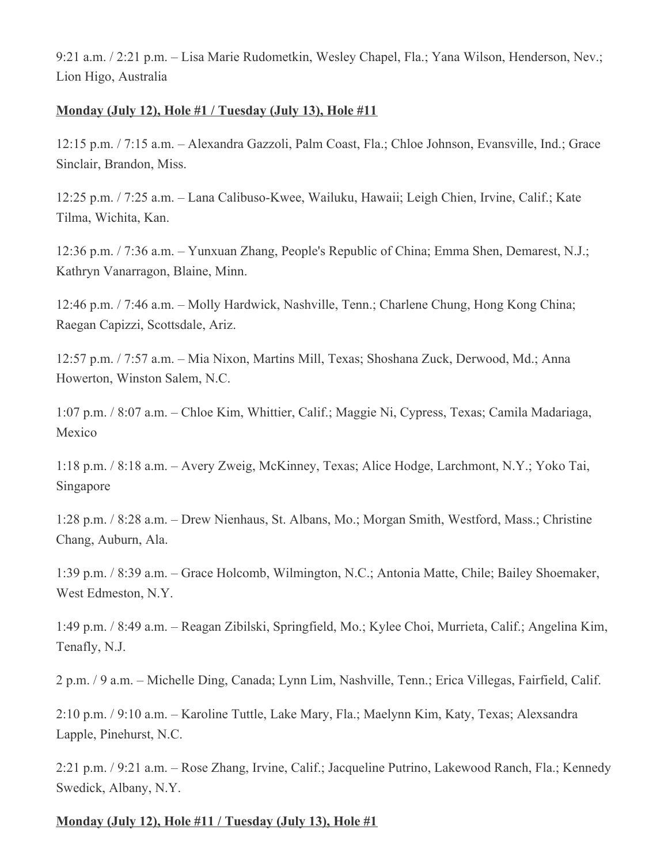9:21 a.m. / 2:21 p.m. – Lisa Marie Rudometkin, Wesley Chapel, Fla.; Yana Wilson, Henderson, Nev.; Lion Higo, Australia

## **Monday (July 12), Hole #1 / Tuesday (July 13), Hole #11**

12:15 p.m. / 7:15 a.m. – Alexandra Gazzoli, Palm Coast, Fla.; Chloe Johnson, Evansville, Ind.; Grace Sinclair, Brandon, Miss.

12:25 p.m. / 7:25 a.m. – Lana Calibuso-Kwee, Wailuku, Hawaii; Leigh Chien, Irvine, Calif.; Kate Tilma, Wichita, Kan.

12:36 p.m. / 7:36 a.m. – Yunxuan Zhang, People's Republic of China; Emma Shen, Demarest, N.J.; Kathryn Vanarragon, Blaine, Minn.

12:46 p.m. / 7:46 a.m. – Molly Hardwick, Nashville, Tenn.; Charlene Chung, Hong Kong China; Raegan Capizzi, Scottsdale, Ariz.

12:57 p.m. / 7:57 a.m. – Mia Nixon, Martins Mill, Texas; Shoshana Zuck, Derwood, Md.; Anna Howerton, Winston Salem, N.C.

1:07 p.m. / 8:07 a.m. – Chloe Kim, Whittier, Calif.; Maggie Ni, Cypress, Texas; Camila Madariaga, Mexico

1:18 p.m. / 8:18 a.m. – Avery Zweig, McKinney, Texas; Alice Hodge, Larchmont, N.Y.; Yoko Tai, Singapore

1:28 p.m. / 8:28 a.m. – Drew Nienhaus, St. Albans, Mo.; Morgan Smith, Westford, Mass.; Christine Chang, Auburn, Ala.

1:39 p.m. / 8:39 a.m. – Grace Holcomb, Wilmington, N.C.; Antonia Matte, Chile; Bailey Shoemaker, West Edmeston, N.Y.

1:49 p.m. / 8:49 a.m. – Reagan Zibilski, Springfield, Mo.; Kylee Choi, Murrieta, Calif.; Angelina Kim, Tenafly, N.J.

2 p.m. / 9 a.m. – Michelle Ding, Canada; Lynn Lim, Nashville, Tenn.; Erica Villegas, Fairfield, Calif.

2:10 p.m. / 9:10 a.m. – Karoline Tuttle, Lake Mary, Fla.; Maelynn Kim, Katy, Texas; Alexsandra Lapple, Pinehurst, N.C.

2:21 p.m. / 9:21 a.m. – Rose Zhang, Irvine, Calif.; Jacqueline Putrino, Lakewood Ranch, Fla.; Kennedy Swedick, Albany, N.Y.

# **Monday (July 12), Hole #11 / Tuesday (July 13), Hole #1**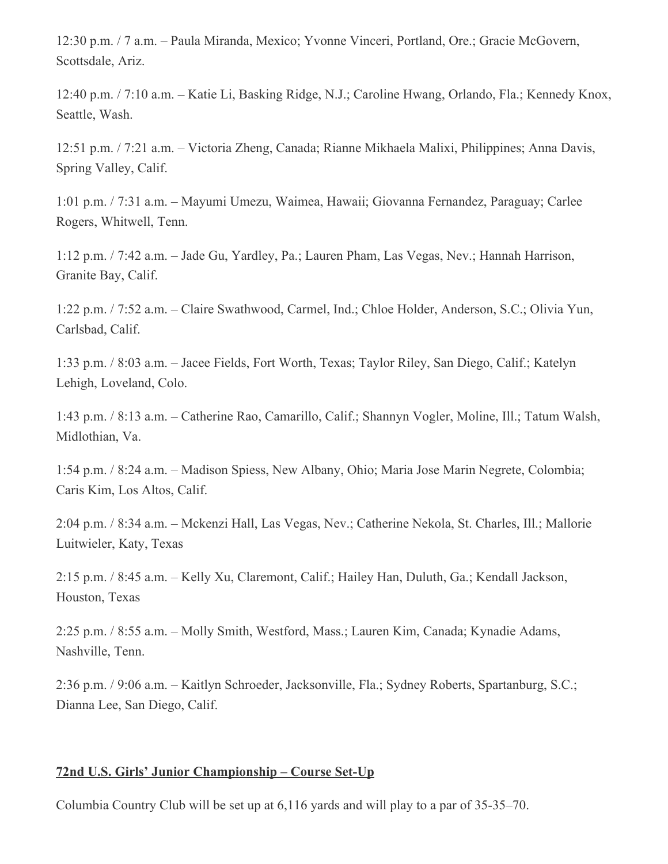12:30 p.m. / 7 a.m. – Paula Miranda, Mexico; Yvonne Vinceri, Portland, Ore.; Gracie McGovern, Scottsdale, Ariz.

12:40 p.m. / 7:10 a.m. – Katie Li, Basking Ridge, N.J.; Caroline Hwang, Orlando, Fla.; Kennedy Knox, Seattle, Wash.

12:51 p.m. / 7:21 a.m. – Victoria Zheng, Canada; Rianne Mikhaela Malixi, Philippines; Anna Davis, Spring Valley, Calif.

1:01 p.m. / 7:31 a.m. – Mayumi Umezu, Waimea, Hawaii; Giovanna Fernandez, Paraguay; Carlee Rogers, Whitwell, Tenn.

1:12 p.m. / 7:42 a.m. – Jade Gu, Yardley, Pa.; Lauren Pham, Las Vegas, Nev.; Hannah Harrison, Granite Bay, Calif.

1:22 p.m. / 7:52 a.m. – Claire Swathwood, Carmel, Ind.; Chloe Holder, Anderson, S.C.; Olivia Yun, Carlsbad, Calif.

1:33 p.m. / 8:03 a.m. – Jacee Fields, Fort Worth, Texas; Taylor Riley, San Diego, Calif.; Katelyn Lehigh, Loveland, Colo.

1:43 p.m. / 8:13 a.m. – Catherine Rao, Camarillo, Calif.; Shannyn Vogler, Moline, Ill.; Tatum Walsh, Midlothian, Va.

1:54 p.m. / 8:24 a.m. – Madison Spiess, New Albany, Ohio; Maria Jose Marin Negrete, Colombia; Caris Kim, Los Altos, Calif.

2:04 p.m. / 8:34 a.m. – Mckenzi Hall, Las Vegas, Nev.; Catherine Nekola, St. Charles, Ill.; Mallorie Luitwieler, Katy, Texas

2:15 p.m. / 8:45 a.m. – Kelly Xu, Claremont, Calif.; Hailey Han, Duluth, Ga.; Kendall Jackson, Houston, Texas

2:25 p.m. / 8:55 a.m. – Molly Smith, Westford, Mass.; Lauren Kim, Canada; Kynadie Adams, Nashville, Tenn.

2:36 p.m. / 9:06 a.m. – Kaitlyn Schroeder, Jacksonville, Fla.; Sydney Roberts, Spartanburg, S.C.; Dianna Lee, San Diego, Calif.

### **72nd U.S. Girls' Junior Championship – Course Set-Up**

Columbia Country Club will be set up at 6,116 yards and will play to a par of 35-35–70.